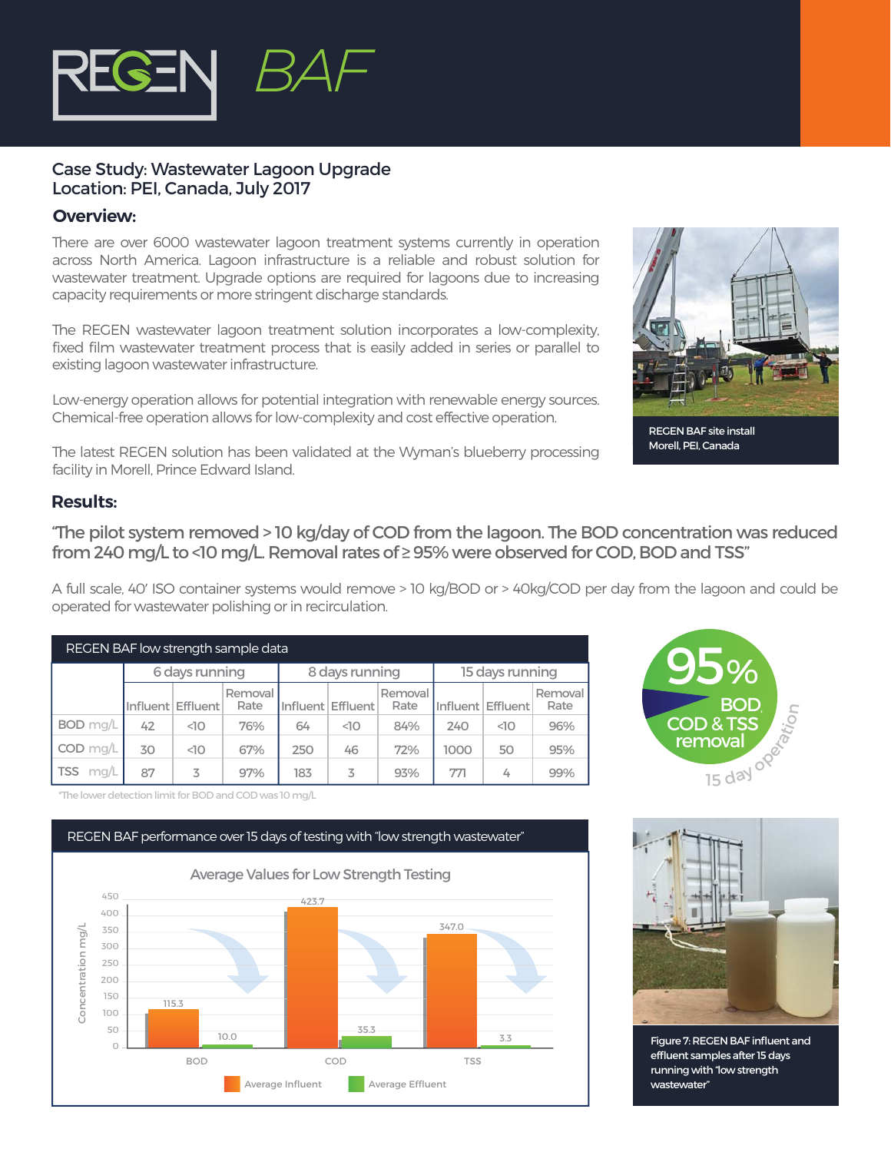

## Case Study: Wastewater Lagoon Upgrade Location: PEI, Canada, July 2017

## **Overview:**

There are over 6000 wastewater lagoon treatment systems currently in operation across North America. Lagoon infrastructure is a reliable and robust solution for wastewater treatment. Upgrade options are required for lagoons due to increasing capacity requirements or more stringent discharge standards.

The REGEN wastewater lagoon treatment solution incorporates a low-complexity, fixed film wastewater treatment process that is easily added in series or parallel to existing lagoon wastewater infrastructure.

Low-energy operation allows for potential integration with renewable energy sources. Chemical-free operation allows for low-complexity and cost effective operation.

The latest REGEN solution has been validated at the Wyman's blueberry processing facility in Morell, Prince Edward Island.

## **Results:**

"The pilot system removed > 10 kg/day of COD from the lagoon. The BOD concentration was reduced from 240 mg/L to <10 mg/L. Removal rates of ≥ 95% were observed for COD, BOD and TSS"

A full scale, 40' ISO container systems would remove > 10 kg/BOD or > 40kg/COD per day from the lagoon and could be operated for wastewater polishing or in recirculation.

| REGEN BAF low strength sample data |                |                   |                 |                   |                   |                 |                 |                   |                 |
|------------------------------------|----------------|-------------------|-----------------|-------------------|-------------------|-----------------|-----------------|-------------------|-----------------|
|                                    | 6 days running |                   |                 | 8 days running    |                   |                 | 15 days running |                   |                 |
|                                    |                | Influent Effluent | Removal<br>Rate | Influent Effluent |                   | Removal<br>Rate | Influent        | <b>Effluent</b>   | Removal<br>Rate |
| BOD mg/L                           | 42             | $\triangleleft$   | 76%             | 64                | $\triangleleft$ 0 | 84%             | 240             | $\triangleleft$ 0 | 96%             |
| $COD$ mg/L                         | 30             | $\triangleleft$   | 67%             | 250               | 46                | 72%             | 1000            | 50                | 95%             |
| mg/L<br><b>TSS</b>                 | 87             | 3                 | 97%             | 183               | 3                 | 93%             | 771             | 4                 | 99%             |



\*The lower detection limit for BOD and COD was 10 mg/L





Figure 7: REGEN BAF influent and effluent samples after 15 days running with "low strength wastewater"